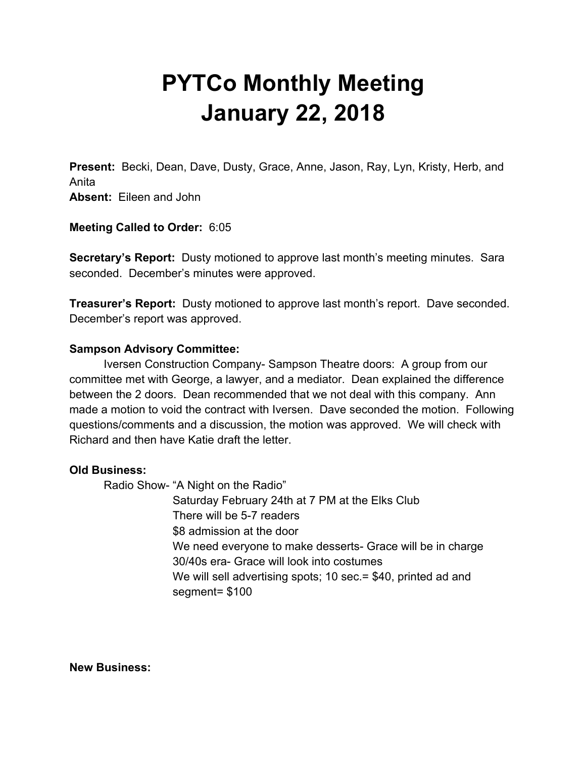# **PYTCo Monthly Meeting January 22, 2018**

**Present:** Becki, Dean, Dave, Dusty, Grace, Anne, Jason, Ray, Lyn, Kristy, Herb, and Anita **Absent:** Eileen and John

**Meeting Called to Order:** 6:05

**Secretary's Report:** Dusty motioned to approve last month's meeting minutes. Sara seconded. December's minutes were approved.

**Treasurer's Report:** Dusty motioned to approve last month's report. Dave seconded. December's report was approved.

### **Sampson Advisory Committee:**

Iversen Construction Company- Sampson Theatre doors: A group from our committee met with George, a lawyer, and a mediator. Dean explained the difference between the 2 doors. Dean recommended that we not deal with this company. Ann made a motion to void the contract with Iversen. Dave seconded the motion. Following questions/comments and a discussion, the motion was approved. We will check with Richard and then have Katie draft the letter.

#### **Old Business:**

Radio Show- "A Night on the Radio" Saturday February 24th at 7 PM at the Elks Club There will be 5-7 readers \$8 admission at the door We need everyone to make desserts- Grace will be in charge 30/40s era- Grace will look into costumes We will sell advertising spots; 10 sec. = \$40, printed ad and segment= \$100

**New Business:**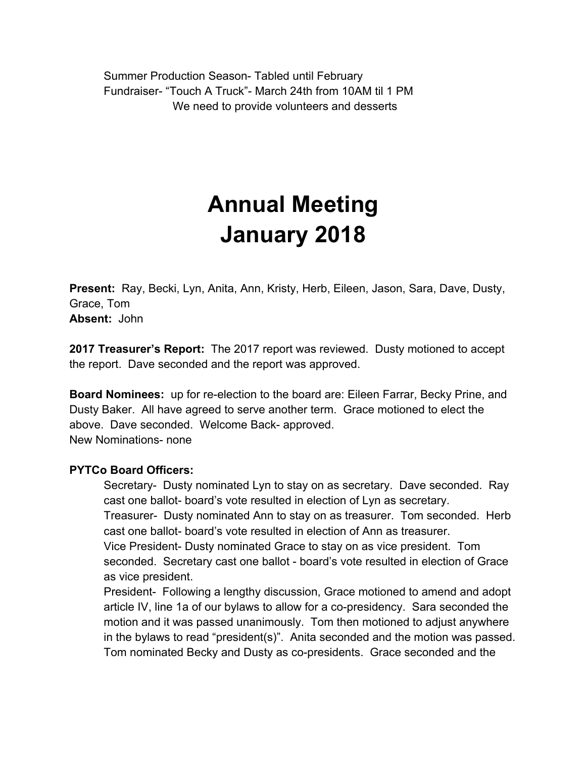Summer Production Season- Tabled until February Fundraiser- "Touch A Truck"- March 24th from 10AM til 1 PM We need to provide volunteers and desserts

# **Annual Meeting January 2018**

**Present:** Ray, Becki, Lyn, Anita, Ann, Kristy, Herb, Eileen, Jason, Sara, Dave, Dusty, Grace, Tom **Absent:** John

**2017 Treasurer's Report:** The 2017 report was reviewed. Dusty motioned to accept the report. Dave seconded and the report was approved.

**Board Nominees:** up for re-election to the board are: Eileen Farrar, Becky Prine, and Dusty Baker. All have agreed to serve another term. Grace motioned to elect the above. Dave seconded. Welcome Back- approved. New Nominations- none

## **PYTCo Board Officers:**

Secretary- Dusty nominated Lyn to stay on as secretary. Dave seconded. Ray cast one ballot- board's vote resulted in election of Lyn as secretary.

Treasurer- Dusty nominated Ann to stay on as treasurer. Tom seconded. Herb cast one ballot- board's vote resulted in election of Ann as treasurer.

Vice President- Dusty nominated Grace to stay on as vice president. Tom seconded. Secretary cast one ballot - board's vote resulted in election of Grace as vice president.

President- Following a lengthy discussion, Grace motioned to amend and adopt article IV, line 1a of our bylaws to allow for a co-presidency. Sara seconded the motion and it was passed unanimously. Tom then motioned to adjust anywhere in the bylaws to read "president(s)". Anita seconded and the motion was passed. Tom nominated Becky and Dusty as co-presidents. Grace seconded and the